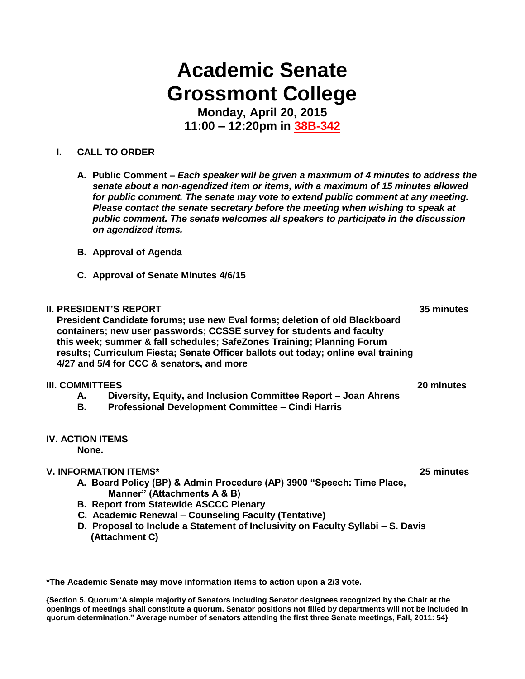# **Academic Senate Grossmont College**

**Monday, April 20, 2015 11:00 – 12:20pm in 38B-342**

### **I. CALL TO ORDER**

- **A. Public Comment –** *Each speaker will be given a maximum of 4 minutes to address the senate about a non-agendized item or items, with a maximum of 15 minutes allowed for public comment. The senate may vote to extend public comment at any meeting. Please contact the senate secretary before the meeting when wishing to speak at public comment. The senate welcomes all speakers to participate in the discussion on agendized items.*
- **B. Approval of Agenda**
- **C. Approval of Senate Minutes 4/6/15**

#### **II. PRESIDENT'S REPORT 35 minutes**

 **President Candidate forums; use new Eval forms; deletion of old Blackboard containers; new user passwords; CCSSE survey for students and faculty this week; summer & fall schedules; SafeZones Training; Planning Forum results; Curriculum Fiesta; Senate Officer ballots out today; online eval training 4/27 and 5/4 for CCC & senators, and more**

#### **III. COMMITTEES 20 minutes**

- **A. Diversity, Equity, and Inclusion Committee Report – Joan Ahrens**
- **B. Professional Development Committee – Cindi Harris**

### **IV. ACTION ITEMS**

**None.**

### **V. INFORMATION ITEMS\* 25 minutes**

- **A. Board Policy (BP) & Admin Procedure (AP) 3900 "Speech: Time Place, Manner" (Attachments A & B)**
- **B. Report from Statewide ASCCC Plenary**
- **C. Academic Renewal – Counseling Faculty (Tentative)**
- **D. Proposal to Include a Statement of Inclusivity on Faculty Syllabi – S. Davis (Attachment C)**

**\*The Academic Senate may move information items to action upon a 2/3 vote.**

**{Section 5. Quorum"A simple majority of Senators including Senator designees recognized by the Chair at the openings of meetings shall constitute a quorum. Senator positions not filled by departments will not be included in quorum determination." Average number of senators attending the first three Senate meetings, Fall, 2011: 54}**